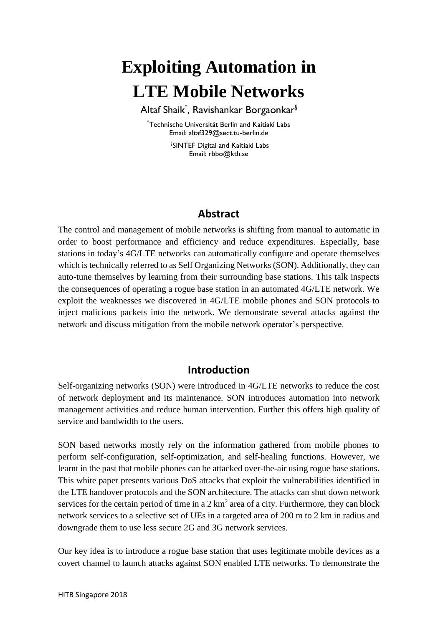# **Exploiting Automation in LTE Mobile Networks**

Altaf Shaik\* , Ravishankar Borgaonkar§

\*Technische Universität Berlin and Kaitiaki Labs Email: altaf329@sect.tu-berlin.de

> § SINTEF Digital and Kaitiaki Labs Email: rbbo@kth.se

#### **Abstract**

The control and management of mobile networks is shifting from manual to automatic in order to boost performance and efficiency and reduce expenditures. Especially, base stations in today's 4G/LTE networks can automatically configure and operate themselves which is technically referred to as Self Organizing Networks (SON). Additionally, they can auto-tune themselves by learning from their surrounding base stations. This talk inspects the consequences of operating a rogue base station in an automated 4G/LTE network. We exploit the weaknesses we discovered in 4G/LTE mobile phones and SON protocols to inject malicious packets into the network. We demonstrate several attacks against the network and discuss mitigation from the mobile network operator's perspective.

#### **Introduction**

Self-organizing networks (SON) were introduced in 4G/LTE networks to reduce the cost of network deployment and its maintenance. SON introduces automation into network management activities and reduce human intervention. Further this offers high quality of service and bandwidth to the users.

SON based networks mostly rely on the information gathered from mobile phones to perform self-configuration, self-optimization, and self-healing functions. However, we learnt in the past that mobile phones can be attacked over-the-air using rogue base stations. This white paper presents various DoS attacks that exploit the vulnerabilities identified in the LTE handover protocols and the SON architecture. The attacks can shut down network services for the certain period of time in a  $2 \text{ km}^2$  area of a city. Furthermore, they can block network services to a selective set of UEs in a targeted area of 200 m to 2 km in radius and downgrade them to use less secure 2G and 3G network services.

Our key idea is to introduce a rogue base station that uses legitimate mobile devices as a covert channel to launch attacks against SON enabled LTE networks. To demonstrate the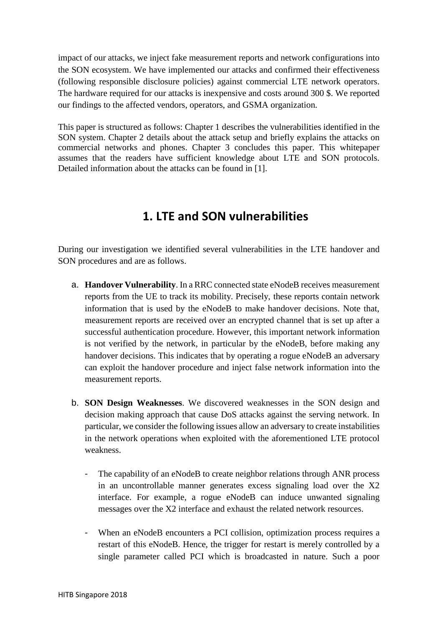impact of our attacks, we inject fake measurement reports and network configurations into the SON ecosystem. We have implemented our attacks and confirmed their effectiveness (following responsible disclosure policies) against commercial LTE network operators. The hardware required for our attacks is inexpensive and costs around 300 \$. We reported our findings to the affected vendors, operators, and GSMA organization.

This paper is structured as follows: Chapter 1 describes the vulnerabilities identified in the SON system. Chapter 2 details about the attack setup and briefly explains the attacks on commercial networks and phones. Chapter 3 concludes this paper. This whitepaper assumes that the readers have sufficient knowledge about LTE and SON protocols. Detailed information about the attacks can be found in [1].

### **1. LTE and SON vulnerabilities**

During our investigation we identified several vulnerabilities in the LTE handover and SON procedures and are as follows.

- a. **Handover Vulnerability**. In a RRC connected state eNodeB receives measurement reports from the UE to track its mobility. Precisely, these reports contain network information that is used by the eNodeB to make handover decisions. Note that, measurement reports are received over an encrypted channel that is set up after a successful authentication procedure. However, this important network information is not verified by the network, in particular by the eNodeB, before making any handover decisions. This indicates that by operating a rogue eNodeB an adversary can exploit the handover procedure and inject false network information into the measurement reports.
- b. **SON Design Weaknesses**. We discovered weaknesses in the SON design and decision making approach that cause DoS attacks against the serving network. In particular, we consider the following issues allow an adversary to create instabilities in the network operations when exploited with the aforementioned LTE protocol weakness.
	- The capability of an eNodeB to create neighbor relations through ANR process in an uncontrollable manner generates excess signaling load over the X2 interface. For example, a rogue eNodeB can induce unwanted signaling messages over the X2 interface and exhaust the related network resources.
	- When an eNodeB encounters a PCI collision, optimization process requires a restart of this eNodeB. Hence, the trigger for restart is merely controlled by a single parameter called PCI which is broadcasted in nature. Such a poor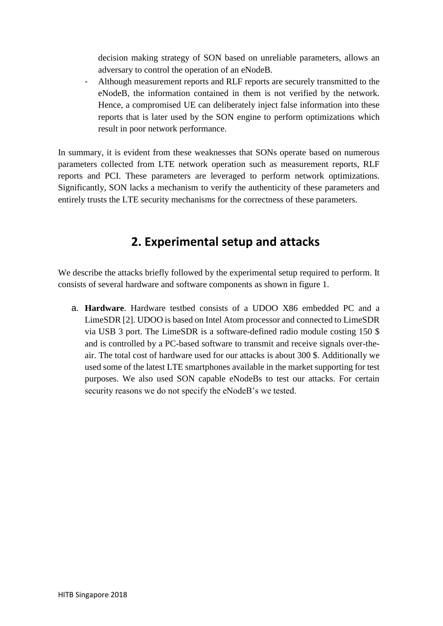decision making strategy of SON based on unreliable parameters, allows an adversary to control the operation of an eNodeB.

- Although measurement reports and RLF reports are securely transmitted to the eNodeB, the information contained in them is not verified by the network. Hence, a compromised UE can deliberately inject false information into these reports that is later used by the SON engine to perform optimizations which result in poor network performance.

In summary, it is evident from these weaknesses that SONs operate based on numerous parameters collected from LTE network operation such as measurement reports, RLF reports and PCI. These parameters are leveraged to perform network optimizations. Significantly, SON lacks a mechanism to verify the authenticity of these parameters and entirely trusts the LTE security mechanisms for the correctness of these parameters.

## **2. Experimental setup and attacks**

We describe the attacks briefly followed by the experimental setup required to perform. It consists of several hardware and software components as shown in figure 1.

a. **Hardware**. Hardware testbed consists of a UDOO X86 embedded PC and a LimeSDR [2]. UDOO is based on Intel Atom processor and connected to LimeSDR via USB 3 port. The LimeSDR is a software-defined radio module costing 150 \$ and is controlled by a PC-based software to transmit and receive signals over-theair. The total cost of hardware used for our attacks is about 300 \$. Additionally we used some of the latest LTE smartphones available in the market supporting for test purposes. We also used SON capable eNodeBs to test our attacks. For certain security reasons we do not specify the eNodeB's we tested.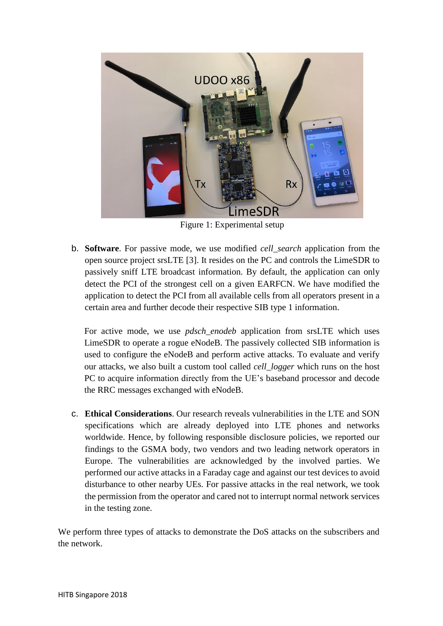

Figure 1: Experimental setup

b. **Software**. For passive mode, we use modified *cell\_search* application from the open source project srsLTE [3]. It resides on the PC and controls the LimeSDR to passively sniff LTE broadcast information. By default, the application can only detect the PCI of the strongest cell on a given EARFCN. We have modified the application to detect the PCI from all available cells from all operators present in a certain area and further decode their respective SIB type 1 information.

For active mode, we use *pdsch enodeb* application from srsLTE which uses LimeSDR to operate a rogue eNodeB. The passively collected SIB information is used to configure the eNodeB and perform active attacks. To evaluate and verify our attacks, we also built a custom tool called *cell\_logger* which runs on the host PC to acquire information directly from the UE's baseband processor and decode the RRC messages exchanged with eNodeB.

c. **Ethical Considerations**. Our research reveals vulnerabilities in the LTE and SON specifications which are already deployed into LTE phones and networks worldwide. Hence, by following responsible disclosure policies, we reported our findings to the GSMA body, two vendors and two leading network operators in Europe. The vulnerabilities are acknowledged by the involved parties. We performed our active attacks in a Faraday cage and against our test devices to avoid disturbance to other nearby UEs. For passive attacks in the real network, we took the permission from the operator and cared not to interrupt normal network services in the testing zone.

We perform three types of attacks to demonstrate the DoS attacks on the subscribers and the network.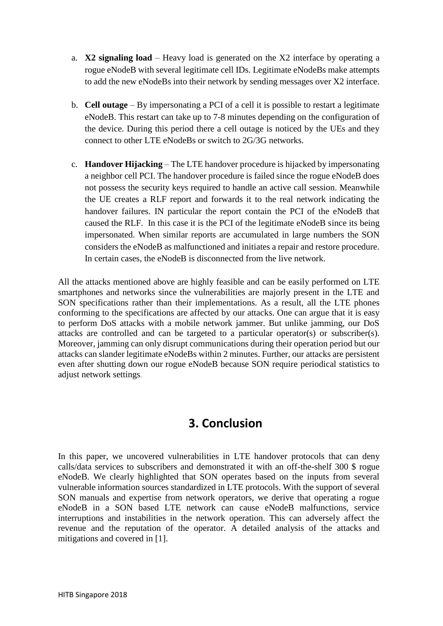- a. **X2 signaling load** Heavy load is generated on the X2 interface by operating a rogue eNodeB with several legitimate cell IDs. Legitimate eNodeBs make attempts to add the new eNodeBs into their network by sending messages over X2 interface.
- b. **Cell outage** By impersonating a PCI of a cell it is possible to restart a legitimate eNodeB. This restart can take up to 7-8 minutes depending on the configuration of the device. During this period there a cell outage is noticed by the UEs and they connect to other LTE eNodeBs or switch to 2G/3G networks.
- c. **Handover Hijacking** The LTE handover procedure is hijacked by impersonating a neighbor cell PCI. The handover procedure is failed since the rogue eNodeB does not possess the security keys required to handle an active call session. Meanwhile the UE creates a RLF report and forwards it to the real network indicating the handover failures. IN particular the report contain the PCI of the eNodeB that caused the RLF. In this case it is the PCI of the legitimate eNodeB since its being impersonated. When similar reports are accumulated in large numbers the SON considers the eNodeB as malfunctioned and initiates a repair and restore procedure. In certain cases, the eNodeB is disconnected from the live network.

All the attacks mentioned above are highly feasible and can be easily performed on LTE smartphones and networks since the vulnerabilities are majorly present in the LTE and SON specifications rather than their implementations. As a result, all the LTE phones conforming to the specifications are affected by our attacks. One can argue that it is easy to perform DoS attacks with a mobile network jammer. But unlike jamming, our DoS attacks are controlled and can be targeted to a particular operator(s) or subscriber(s). Moreover, jamming can only disrupt communications during their operation period but our attacks can slander legitimate eNodeBs within 2 minutes. Further, our attacks are persistent even after shutting down our rogue eNodeB because SON require periodical statistics to adjust network settings.

#### **3. Conclusion**

In this paper, we uncovered vulnerabilities in LTE handover protocols that can deny calls/data services to subscribers and demonstrated it with an off-the-shelf 300 \$ rogue eNodeB. We clearly highlighted that SON operates based on the inputs from several vulnerable information sources standardized in LTE protocols. With the support of several SON manuals and expertise from network operators, we derive that operating a rogue eNodeB in a SON based LTE network can cause eNodeB malfunctions, service interruptions and instabilities in the network operation. This can adversely affect the revenue and the reputation of the operator. A detailed analysis of the attacks and mitigations and covered in [1].